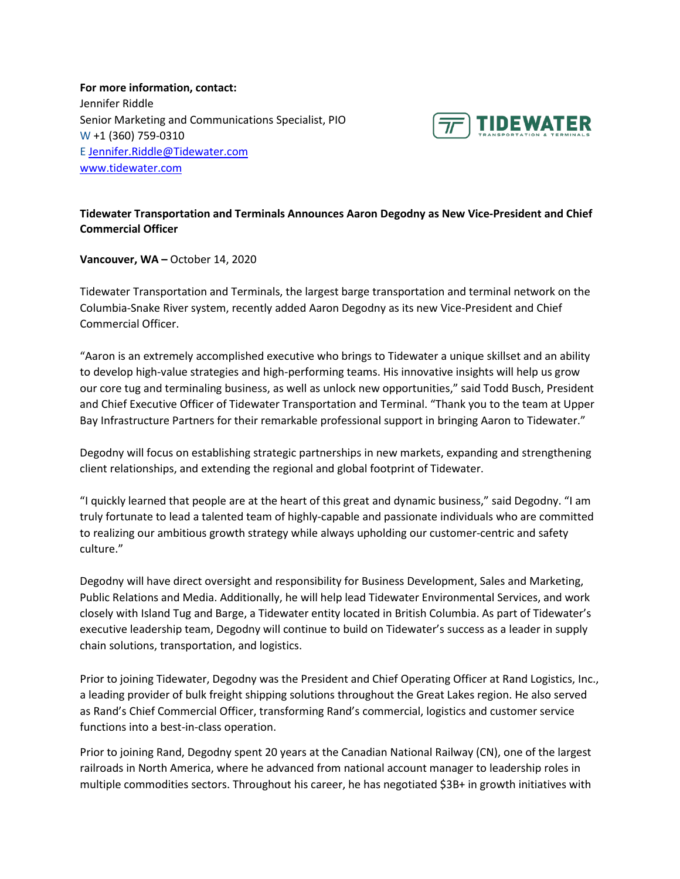**For more information, contact:** Jennifer Riddle Senior Marketing and Communications Specialist, PIO W +1 (360) 759-0310 E [Jennifer.Riddle@Tidewater.com](mailto:Jennifer.Riddle@Tidewater.com) [www.tidewater.com](http://www.tidewater.com/)



## **Tidewater Transportation and Terminals Announces Aaron Degodny as New Vice-President and Chief Commercial Officer**

**Vancouver, WA –** October 14, 2020

Tidewater Transportation and Terminals, the largest barge transportation and terminal network on the Columbia-Snake River system, recently added Aaron Degodny as its new Vice-President and Chief Commercial Officer.

"Aaron is an extremely accomplished executive who brings to Tidewater a unique skillset and an ability to develop high-value strategies and high-performing teams. His innovative insights will help us grow our core tug and terminaling business, as well as unlock new opportunities," said Todd Busch, President and Chief Executive Officer of Tidewater Transportation and Terminal. "Thank you to the team at Upper Bay Infrastructure Partners for their remarkable professional support in bringing Aaron to Tidewater."

Degodny will focus on establishing strategic partnerships in new markets, expanding and strengthening client relationships, and extending the regional and global footprint of Tidewater.

"I quickly learned that people are at the heart of this great and dynamic business," said Degodny. "I am truly fortunate to lead a talented team of highly-capable and passionate individuals who are committed to realizing our ambitious growth strategy while always upholding our customer-centric and safety culture."

Degodny will have direct oversight and responsibility for Business Development, Sales and Marketing, Public Relations and Media. Additionally, he will help lead Tidewater Environmental Services, and work closely with Island Tug and Barge, a Tidewater entity located in British Columbia. As part of Tidewater's executive leadership team, Degodny will continue to build on Tidewater's success as a leader in supply chain solutions, transportation, and logistics.

Prior to joining Tidewater, Degodny was the President and Chief Operating Officer at Rand Logistics, Inc., a leading provider of bulk freight shipping solutions throughout the Great Lakes region. He also served as Rand's Chief Commercial Officer, transforming Rand's commercial, logistics and customer service functions into a best-in-class operation.

Prior to joining Rand, Degodny spent 20 years at the Canadian National Railway (CN), one of the largest railroads in North America, where he advanced from national account manager to leadership roles in multiple commodities sectors. Throughout his career, he has negotiated \$3B+ in growth initiatives with